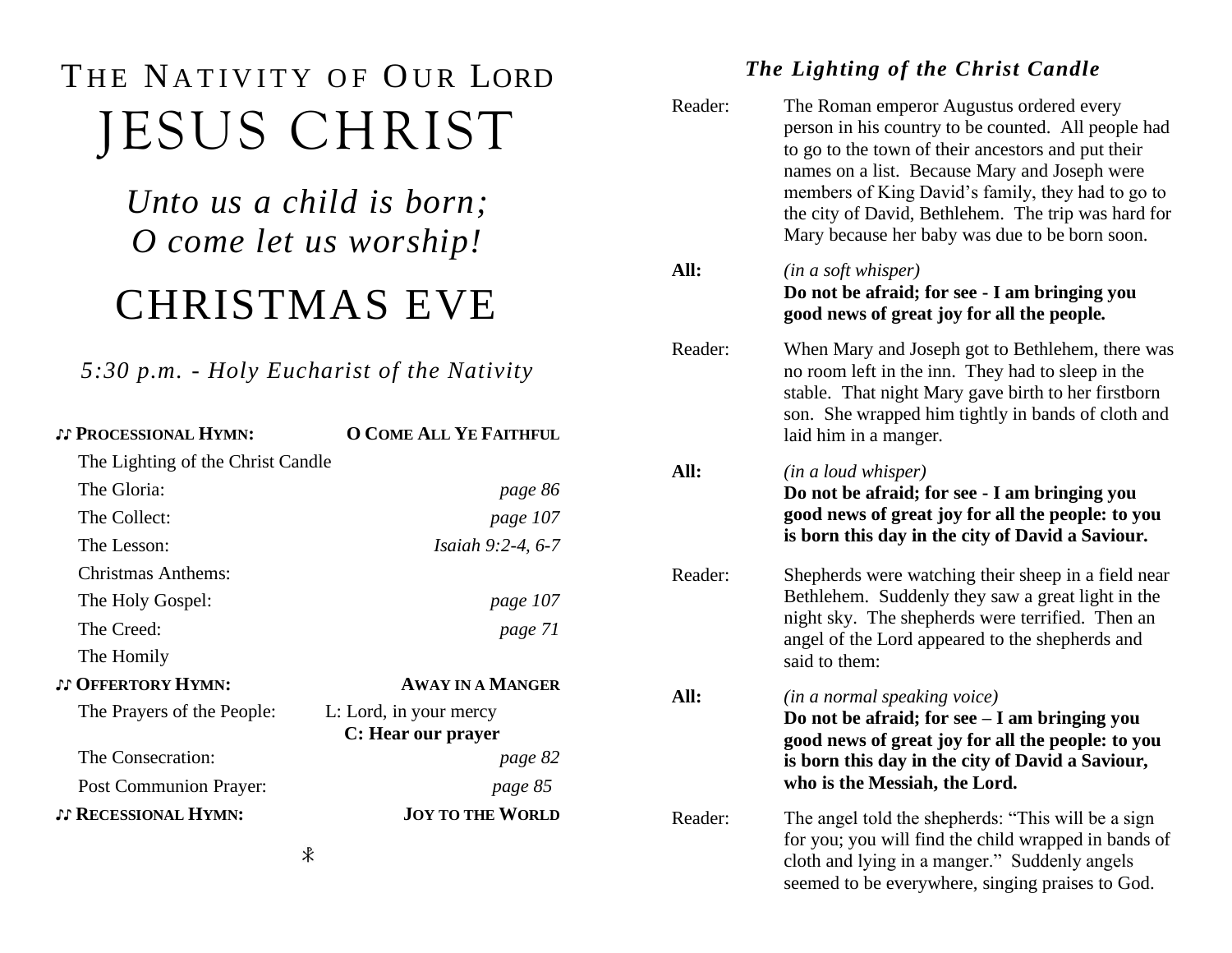# THE NATIVITY OF OUR LORD JESUS CHRIST

### *Unto us a child is born; O come let us worship!*

## CHRISTMAS EVE

#### *5:30 p.m. - Holy Eucharist of the Nativity*

| <b>JJ PROCESSIONAL HYMN:</b>      | <b>O COME ALL YE FAITHFUL</b>                |
|-----------------------------------|----------------------------------------------|
| The Lighting of the Christ Candle |                                              |
| The Gloria:                       | page 86                                      |
| The Collect:                      | page 107                                     |
| The Lesson:                       | Isaiah 9:2-4, 6-7                            |
| Christmas Anthems:                |                                              |
| The Holy Gospel:                  | page 107                                     |
| The Creed:                        | page 71                                      |
| The Homily                        |                                              |
| <b>JJ OFFERTORY HYMN:</b>         | <b>AWAY IN A MANGER</b>                      |
| The Prayers of the People:        | L: Lord, in your mercy<br>C: Hear our prayer |
| The Consecration:                 | page 82                                      |
| Post Communion Prayer:            | page 85                                      |
| <b>JJ RECESSIONAL HYMN:</b>       | <b>JOY TO THE WORLD</b>                      |
|                                   | ∦                                            |

#### *The Lighting of the Christ Candle*

| Reader: | The Roman emperor Augustus ordered every<br>person in his country to be counted. All people had<br>to go to the town of their ancestors and put their<br>names on a list. Because Mary and Joseph were<br>members of King David's family, they had to go to<br>the city of David, Bethlehem. The trip was hard for<br>Mary because her baby was due to be born soon. |
|---------|----------------------------------------------------------------------------------------------------------------------------------------------------------------------------------------------------------------------------------------------------------------------------------------------------------------------------------------------------------------------|
| All:    | (in a soft whisper)<br>Do not be afraid; for see - I am bringing you<br>good news of great joy for all the people.                                                                                                                                                                                                                                                   |
| Reader: | When Mary and Joseph got to Bethlehem, there was<br>no room left in the inn. They had to sleep in the<br>stable. That night Mary gave birth to her firstborn<br>son. She wrapped him tightly in bands of cloth and<br>laid him in a manger.                                                                                                                          |
| All:    | (in a loud whisper)<br>Do not be afraid; for see - I am bringing you<br>good news of great joy for all the people: to you<br>is born this day in the city of David a Saviour.                                                                                                                                                                                        |
| Reader: | Shepherds were watching their sheep in a field near<br>Bethlehem. Suddenly they saw a great light in the<br>night sky. The shepherds were terrified. Then an<br>angel of the Lord appeared to the shepherds and<br>said to them:                                                                                                                                     |
| All:    | (in a normal speaking voice)<br>Do not be afraid; for $\sec - I$ am bringing you<br>good news of great joy for all the people: to you<br>is born this day in the city of David a Saviour,<br>who is the Messiah, the Lord.                                                                                                                                           |
| Reader: | The angel told the shepherds: "This will be a sign<br>for you; you will find the child wrapped in bands of<br>cloth and lying in a manger." Suddenly angels<br>seemed to be everywhere, singing praises to God.                                                                                                                                                      |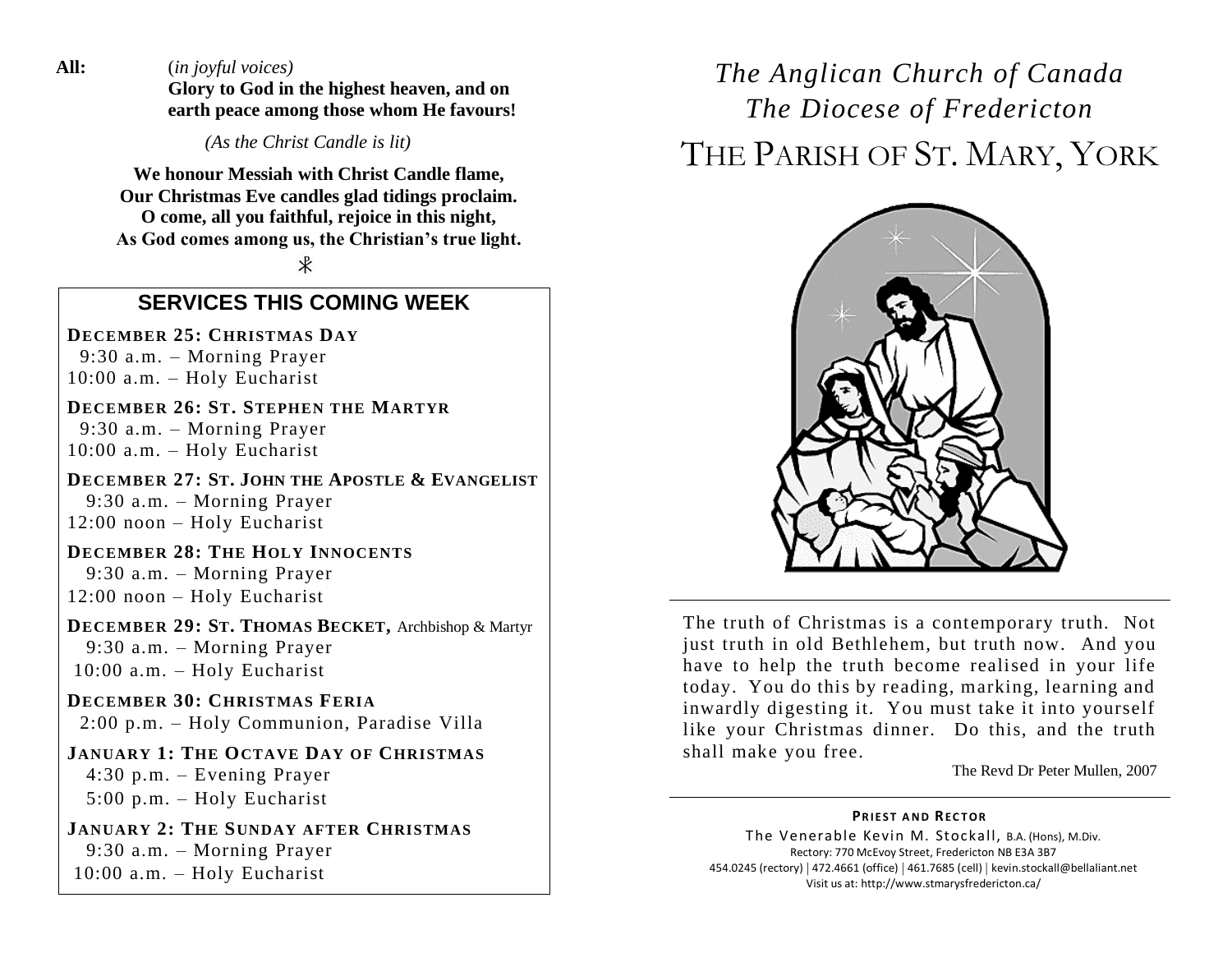**All:** (*in joyful voices)* **Glory to God in the highest heaven, and on earth peace among those whom He favours!**

*(As the Christ Candle is lit)*

**We honour Messiah with Christ Candle flame, Our Christmas Eve candles glad tidings proclaim. O come, all you faithful, rejoice in this night, As God comes among us, the Christian's true light.**

 $\ast$ 

#### **SERVICES THIS COMING WEEK**

**DECEMBER 25: CHRISTMAS DAY** 9:30 a.m. – Morning Prayer 10:00 a.m. – Holy Eucharist

**DECEMBER 26: ST. STEPHEN THE MARTYR** 9:30 a.m. – Morning Prayer

10:00 a.m. – Holy Eucharist

**DECEMBER 27: ST. JOHN THE APOSTLE & EVANGELIST** 9:30 a.m. – Morning Prayer 12:00 noon – Holy Eucharist

**DECEMBER 28: THE HOLY INNOCENTS** 9:30 a.m. – Morning Prayer 12:00 noon – Holy Eucharist

**DECEMBER 29: ST. THOMAS BECKET,** Archbishop & Martyr 9:30 a.m. – Morning Prayer 10:00 a.m. – Holy Eucharist

**DECEMBER 30: CHRISTMAS FERIA** 2:00 p.m. – Holy Communion, Paradise Villa

**JANUARY 1: THE OCTAVE DAY OF CHRISTMAS** 4:30 p.m. – Evening Prayer 5:00 p.m. – Holy Eucharist

**JANUARY 2: THE SUNDAY AFTER CHRISTMAS** 9:30 a.m. – Morning Prayer 10:00 a.m. – Holy Eucharist

### *The Anglican Church of Canada The Diocese of Fredericton* THE PARISH OF ST. MARY, YORK



The truth of Christmas is a contemporary truth. Not just truth in old Bethlehem, but truth now. And you have to help the truth become realised in your life today. You do this by reading, marking, learning and inwardly digesting it. You must take it into yourself like your Christmas dinner. Do this, and the truth shall make you free.

The Revd Dr Peter Mullen, 2007

#### **PRIEST AND RECTOR**

The Venerable Kevin M. Stockall, B.A. (Hons), M.Div. Rectory: 770 McEvoy Street, Fredericton NB E3A 3B7 454.0245 (rectory) | 472.4661 (office) | 461.7685 (cell) | kevin.stockall@bellaliant.net Visit us at: http://www.stmarysfredericton.ca/